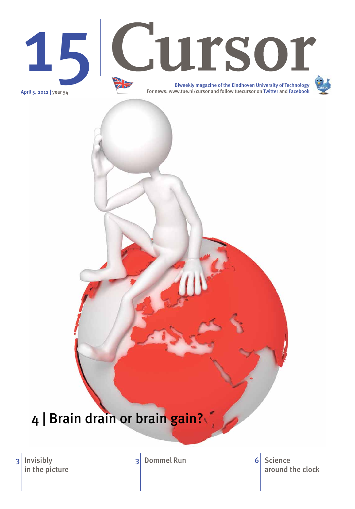April 5, 2012 | year 54

Invisibly in the picture 3 Invisibly 3 Dommel Run

# 15 Cursor

around the clock 6 Science

Biweekly magazine of the Eindhoven University of Technology For news: www.tue.nl/cursor and follow tuecursor on Twitter and Facebook



## 4 | Brain drain or brain gain?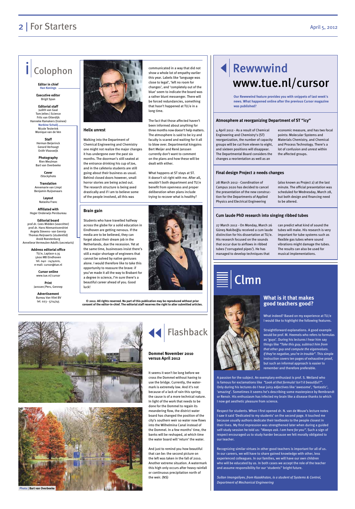

**Helix unrest**

Walking into the Department of Chemical Engineering and Chemistry one might not realize the major changes it has undergone over the past six months. The doorman's still seated at the entrance drinking his cup of Joe, and in the cafeteria students are still going about their business as usual. Behind closed doors however, small horror stories are being acted out. The research structure is being axed drastically and if I am to believe some of the people involved, all this was

communicated in a way that did not show a whole lot of empathy earlier this year. Labels like 'language was close to legal', 'left no room for changes', and 'completely out of the blue' seem to indicate the board was a rather blunt messenger. There will be forced redundancies, something that hasn't happened at TU/e in a

long time.

The fact that those affected haven't been informed about anything for three months now doesn't help matters. The atmosphere is said to be icy and faculty is scared and waiting for it all to blow over. Departmental kingpins Bert Meijer and René Janssen currently don't want to comment on the plans and how these will be

dealt with either.

What happens at ST stays at ST. It doesn't sit right with me. After all, wouldn't both department and TU/e benefit from openness and proper deliberation when plans include



## Rewwwind www.tue.nl/cursor

## 2 | For Starters April 5, 2012

## Colophon

**Editor in chief Han Konings**

**Executive editor**  Brigit Span

**Editorial staff** Judith van Gaal Tom Jeltes | Science Frits van Otterdijk Hanneke Ramakers (trainee)

> **Norbine Schalij** Nicole Testerink Monique van de Ven

**Staff**  Herman Beijerinck Gerard Verhoogt Enith Vlooswijk

**Photography**  Rien Meulman Bart van Overbeeke

> **Cover** iStockphoto

**Translation** Annemarie van Limpt Benjamin Ruijsenaars

> **Layout** Natasha Franc

**Affiliated with**  Hoger Onderwijs Persbureau

**Editorial board** prof.dr. Cees Midden (voorzitter) prof.dr. Hans Niemantsverdriet Angela Stevens- van Gennip Thomas Reijnaerts (studentlid) Arold Roestenburg Anneliese Vermeulen-Adolfs (secretaris)

> **Address editorial office** TU/e, Laplace 0.35 5600 MB Eindhoven tel. 040 - 2474020, e-mail: cursor@tue.nl

> > **Cursor online** www.tue.nl/cursor

**Print** Janssen/Pers, Gennep

**Advertisement** Bureau Van Vliet BV

tel. 023 - 5714745 **© 2012. All rights reserved. No part of this publication may be reproduced without prior consent of the editor-in-chief. The editorial staff reserves the right to alter submitted articles.**



4 April 2012 - As a result of Chemical Engineering and Chemistry's (ST) reorganization, the number of capacity groups will be cut from eleven to eight, and sixteen positions will disappear. The Departmental Board considers the changes a reorientation as well as an

economic measure, and has two focal points: Molecular Systems and Materials Chemistry, and Chemical and Process Technology. There's a lot of confusion and unrest within the affected groups.

28 March 2012 - Coordination of Campus 2020 has decided to cancel the presentation of the new construction for the Departments of Applied Physics and Electrical Engineering

(also known as Project 2) at the last minute. The official presentation was scheduled for Wednesday, March 28, but both design and financing need to be altered.

27 March 2012 - On Monday, March 26 Güneş Nakiboğlu received a cum laude distinction for his dissertation at TU/e. His research focused on the sounds that occur due to airflows in ribbed tubes ('corrugated pipes'). He has managed to develop techniques that

can predict what kind of sound the tubes will make. His research is very important for tube systems such as flexible gas tubes where sound vibrations might damage the tubes. The results can also be used for musical implementations.

#### **Atmosphere at reorganizing Department of ST "icy"**

#### **Final design Project 2 needs changes**

#### **Cum laude PhD research into singing ribbed tubes**

**Our Rewwwind feature provides you with snippets of last week's news. What happened online after the previous Cursor magazine was published?**

#### **Brain gain**

Students who have travelled halfway across the globe for a solid education in Eindhoven are getting nervous. If the media are to be believed, they can forget about their dream job in the Netherlands, due the recession. Yet at the same time, businesses insist there's still a major shortage of engineers that cannot be solved by native geniuses alone. I would therefore like to take this opportunity to reassure the brave: if you've made it all the way to Brabant for a degree in science, I'm sure there's a beautiful career ahead of you. Good luck!

> What indeed? Based on my experience at TU/e I would like to highlight the following features.

Straightforward explanations. A good example would be prof. M. Heemels who refers to formulas as 'guys'. During his lectures I hear him say things like *"Take this guy, subtract him from that other guy and compute the eigenvalues. If they're negative, you're in trouble"*. This simple instruction covers ten pages of exhaustive proof, but such an informal approach is easier to remember and therefore preferable.

A passion for the subject. An exemplary enthusiast is prof. S. Weiland who is famous for exclamations like *"Look at that formula! Isn't it beautiful?"*. Only during his lectures do I hear juicy adjectives like 'awesome', 'fantastic',



'amazing'. Sometimes it seems he's describing some masterpiece by Rembrandt or Renoir. His enthusiasm has infected my brain like a disease thanks to which I now get aesthetic pleasure from science.

Respect for students. When I first opened dr. N. van de Wouw's lecture notes I saw it said 'Dedicated to my students' on the second page. It touched me because usually authors dedicate their textbooks to the people closest in their lives. My first impression was strengthened later when during a guided self-study session he told us: *"Always ask. I am here for you"*. Such a sign of respect encouraged us to study harder because we felt morally obligated to our teacher.

Recognizing similar virtues in other good teachers is important for all of us. In our careers, we will have to share gained knowledge with other, less experienced colleagues. In our families, we will have our own children who will be educated by us. In both cases we accept the role of the teacher and assume responsibility for our 'students'' bright future.

*Sultan Imangaliyev, from Kazakhstan, is a student of Systems & Control, Department of Mechanical Engineering*

#### **What is it that makes good teachers good?**

Clmn



It seems it won't be long before we cross the Dommel without having to use the bridge. Currently, the watermark is extremely low. And it's not because of a lack of rain this spring; the cause is of a more technical nature. In light of the work that needs to be done for the Dommel to regain its meandering flow, the district water board has changed the position of the city's southern weir so water now flows into the Wilhelmina Canal instead of the Dommel. In a few months' time, the banks will be reshaped, at which time the water board will 'return' the water.

And just to remind you how beautiful that can be: the second picture on the left was taken in the fall of 2010. Another extreme situation. A watermark this high only occurs after heavy rainfall or continuous precipitation north of the weir. (NS)

#### **Dommel November 2010 versus April 2012**



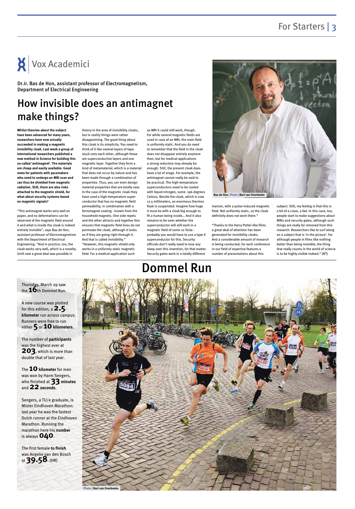## For Starters | 3

## How invisible does an antimagnet make things?

**Whilst theories about the subject have been advanced for many years, researchers have now actually succeeded in making a magnetic invisibility cloak. Last week a group of international researchers published a new method in Science for building this so-called 'antimagnet'. The materials are cheap and easily available. Good news for patients with pacemakers who need to undergo an MRI scan and can thus be shielded from magnetic radiation. Still, there are also risks attached to the magnetic shield, for what about security systems based on magnetic signals?**

"This antimagnet works very well on paper, and no deformations can be observed of the magnetic field around it and what is inside the cloak is indeed entirely invisible", says Bas de Hon, assistant professor of Electromagnetism with the Department of Electrical Engineering. "And in practice, too, the cloak works very well, which is a novelty. Until now a great deal was possible in

theory in the area of invisibility cloaks, but in reality things were rather disappointing. The good thing about this cloak is its simplicity. You need to think of it like several layers of tape stuck onto each other, although these are superconductive layers and one magnetic layer. Together they form a kind of metamaterial, which is a material that does not occur by nature and has been made through a combination of properties. Thus, you can even design material properties that are totally new. In the case of the magnetic cloak they have used a high-temperature superconductor that has no magnetic field permeability, in combination with a ferromagnet coating - known from the household magnets. One side repels and the other attracts and together this ensures that magnetic field lines do not permeate the cloak, although it looks as if they are going right through it. And that is called invisibility." "However, this magnetic shield only works in a uniformly static magnetic field. For a medical application such

Thursday, March 29 saw the **16**th Dommel Run.

A new course was plotted for this edition, a **2.5 kilometer** run across campus. Runners were free to run either 5 or 10 kilometers.

The **10 kilometer** for men was won by Harm Sengers, who finished at **33 minutes** and **22seconds**.

as MRI it could still work, though. For while several magnetic fields are used in case of an MRI, the main field is uniformly static. And you do need to remember that the field in the cloak does not disappear entirely anymore then, but for medical applications a strong reduction may already be enough. Still, the present cloak does have a lot of snags. For example, the antimagnet cannot really be said to be practical. The high-temperature superconductors need to be cooled with liquid nitrogen, some -196 degrees Celsius. Beside the cloak, which is now 12.5 millimeters, an enormous thermos flask is suspended. Imagine how huge it must be with a cloak big enough to fit a human being inside… And it also remains to be seen whether the superconductor will still work in a magnetic field of some 10 Tesla probably you would have to use a type II superconductor for this. Security officials don't really need to lose any sleep over this invention, for that matter. Security gates work in a totally different

manner, with a pulse-induced magnetic field. Not uniformly static, so the cloak definitely does not work there."

"Thanks to the Harry Potter-like films a great deal of attention has been generated for invisibility cloaks. And a considerable amount of research is being conducted, for each conference in our field of expertise features a number of presentations about this

subject. Still, my feeling is that this is a bit of a craze, a fad. In this case, too, people start to make suggestions about MRIs and security gates, although such things are really far removed from this research. Researchers like to surf along on a subject that is 'in the picture'. For although people in films like nothing better than being invisible, the thing that really counts in the world of science is to be highly visible indeed." (NT)



Dr.ir. Bas de Hon, assistant professor of Electromagnetism, Department of Electrical Engineering



## Dommel Run



The number of **participants** was the highest ever at **203**, which is more than double that of last year.

Sengers, a TU/e graduate, is Mister Eindhoven Marathon: last year he was the fastest Dutch runner at the Eindhoven Marathon. Running the marathon here his **number** is always **040**.

The first female **to finish** was Angelie van den Bosch at **39.58**. (HR)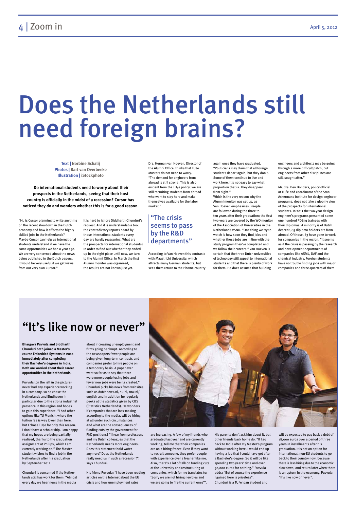# Does the Netherlands still need foreign brains?

"Hi, is Cursor planning to write anything on the recent slowdown in the Dutch economy and how it affects the highly skilled jobs in the Netherlands? Maybe Cursor can help us international students understand if we have the same opportunities we had a year ago. We are very concerned about the news being published in the Dutch papers. It would be very useful if we get views from our very own Cursor."

It is hard to ignore Siddharth Chunduri's request. And it is understandable too: the contradictory reports heard by those international students every day are hardly reassuring. What are the prospects for international students? In order to find out whether they ended up in the right place until now, we turn to the Alumni Office. In March the first Alumni monitor was organized; the results are not known just yet.

Drs. Herman van Hoeven, Director of the Alumni Office, thinks that TU/e Masters do not need to worry. "The demand for engineers from abroad is still strong. This is also evident from the TU/e policy: we are still recruiting students from abroad who want to stay here and make themselves available for the labor market."

According to Van Hoeven this contrasts with Maastricht University, which attracts many German students, but sees them return to their home country

again once they have graduated. "Politicians may claim that all foreign students depart again, but they don't. Some of them continue to live and work here. It's not easy to say what proportion that is. They disappear from sight."

Which is the very reason why the Alumni monitor was set up, as Van Hoeven emphasizes. People are followed during the three to ten years after their graduation; the first two years are covered by the WO monitor of the Association of Universities in the Netherlands VSNU. "One thing we try to watch is how soon they find jobs and whether those jobs are in line with the study program they've completed and we follow their careers." Van Hoeven is certain that the three Dutch universities of technology still appeal to international students and that there is plenty of work for them. He does assume that building

engineers and architects may be going through a more difficult patch, but engineers from other disciplines are still sought after."

Mr. drs. Ben Donders, policy official at TU/e and coordinator of the Stan Ackermans Institute for design engineer programs, does not take a gloomy view of the prospects for international students. In 2011 the two-year design engineer's programs presented some one hundred PDEng trainees with their diplomas. A minority is of Dutch descent, 85 diploma holders are from abroad. Of those, 63 have gone to work for companies in the region. "It seems as if the crisis is passing by the research and development departments of companies like ASML, DAF and the chemical industry. Foreign students have no trouble finding jobs with major companies and three-quarters of them

## "It's like now or never"

**Bhargava Puvvula and Siddharth Chunduri both joined a Master's course Embedded Systems in 2010 immediately after completing their Bachelor's degrees in India. Both are worried about their career opportunities in the Netherlands.**

Puvvula (on the left in the picture) never had any experience working

in a company, so he chose the Netherlands and Eindhoven in particular due to the strong industrial presence in this region and hopes to gain this experience. "I had other options like TU Munich, where the tuition fee is way lower than here, but I chose TU/e for only this reason. I don't have a scholarship. I am happy that my hopes are being partially realized, thanks to the graduation assignment at Philips, which I am currently working on." The Master student wishes to find a job in the Netherlands after his graduation by September 2012.

Chunduri is concerned if the Netherlands still has work for them. "Almost every day we hear news in the media

about increasing unemployment and firms going bankrupt. According to the newspapers fewer people are being given long-term contracts and companies prefer to hire people on a temporary basis. A paper even went so far as to say that there were more people losing jobs and fewer new jobs were being created." Chunduri picks his news from websites



such as dutchnews.nl, nu.nl, rnw.nl/ english and in addition he regularly peeks at the statistics given by CBS (Statistics Netherlands). He wonders if companies that are loss-making according to the media, will be hiring at all under such circumstances. And what are the consequences of funding cuts by the government for PhD positions? "I hear from professors and my Dutch colleagues that the Netherlands needs more engineers. Does this statement hold water anymore? Does the Netherlands really need us in such a recession?", says Chunduri.

His friend Puvvula: "I have been reading articles on the Internet about the EU crisis and how unemployment rates

are increasing. A few of my friends who graduated last year and are currently working, tell me that their companies are on a hiring freeze. Even if they want to recruit someone, they prefer people with experience over a fresher like me. Also, there's a lot of talk on funding cuts at the university and restructuring at companies, which for me translates to: 'Sorry we are not hiring newbies and we are going to fire the current ones'".

His parents don't ask him about it, but other friends back home do. "If I go back to India after my Master's program without working here, I would end up having a job that I could have got after a Bachelor's degree. So it will be like spending two years' time and over 30,000 euros for nothing." Puvvula adds: "But of course the experience I gained here is priceless". Chunduri is a TU/e loan student and

will be expected to pay back a debt of 18,000 euros over a period of three years in installments after his graduation. It is not an option for international, non-EU students to go back to their country now, because there is less hiring due to the economic slowdown, and return later when there is an upturn in the economy. Puvvula: "It's like now or never".

**Text | Norbine Schalij Photos | Bart van Overbeeke Illustration | iStockphoto**

 **Do international students need to worry about their prospects in the Netherlands, seeing that their host country is officially in the midst of a recession? Cursor has noticed they do and wonders whether this is for a good reason.** 

#### "The crisis seems to pass by the R&D departments"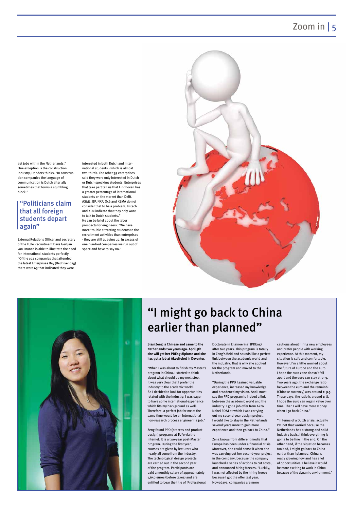## Zoom in | 5

get jobs within the Netherlands." One exception is the construction industry, Donders thinks. "In construction companies the language of communication is Dutch after all; sometimes that forms a stumbling block."

External Relations Officer and secretary of the TU/e Recruitment Days Gertjan van Drunen is able to illustrate the need for international students perfectly. "Of the 102 companies that attended the latest Enterprises Day (Bedrijvendag) there were 63 that indicated they were

interested in both Dutch and international students - which is almost two-thirds. The other 39 enterprises said they were only interested in Dutch or Dutch-speaking students. Enterprises that take part tell us that Eindhoven has a greater percentage of international students on the market than Delft. ASML, BP, NXP, Océ and KEMA do not consider that to be a problem. Imtech and KPN indicate that they only want to talk to Dutch students." He can be brief about the labor prospects for engineers: "We have more trouble attracting students to the recruitment activities than enterprises - they are still queuing up. In excess of one hundred companies we run out of space and have to say no."





**Sissi Zeng is Chinese and came to the Netherlands two years ago. April 5th she will get her PDEng diploma and she has got a job at AkzoNobel in Deventer.**

"When I was about to finish my Master's program in China, I started to think about what should be my next step. It was very clear that I prefer the industry to the academic world. So I decided to look for opportunities related with the industry. I was eager to have some international experience which fits my background as well. Therefore, a perfect job for me at the same time would be an international non-research process engineering job."

Zeng found PPD (process and product design) programs at TU/e via the Internet. It is a two-year post-Master program. During the first year, courses are given by lecturers who nearly all come from the industry. The technological design projects are carried out in the second year of the program. Participants are paid a monthly salary of approximately 1,650 euros (before taxes) and are entitled to bear the title of 'Professional Doctorate in Engineering' (PDEng) after two years. This program is totally in Zeng's field and sounds like a perfect link between the academic world and the industry. That is why she applied for the program and moved to the Netherlands.

"During the PPD I gained valuable experience, increased my knowledge

and broadened my vision. And I must say the PPD program is indeed a link between the academic world and the industry: I got a job offer from Akzo Nobel RD&I at which I was carrying out my second-year design project. I would like to stay in the Netherlands several years more to gain more experience and then go back to China."

Zeng knows from different media that Europe has been under a financial crisis. Moreover, she could sense it when she was carrying out her second-year project in the company, because the company launched a series of actions to cut costs, and announced hiring freezes. "Luckily, I was not affected by the hiring freeze because I got the offer last year. Nowadays, companies are more

cautious about hiring new employees and prefer people with working experience. At this moment, my situation is safe and comfortable. However, I'm a little worried about the future of Europe and the euro. I hope the euro zone doesn't fall apart and the euro can stay strong. Two years ago, the exchange ratio between the euro and the renminbi

(Chinese currency) was around 1: 9.5. These days, the ratio is around 1: 8. I hope the euro can regain value over time. Then I will have more money when I go back China."

"In terms of a Dutch crisis, actually I'm not that worried because the Netherlands has a strong and solid industry basis. I think everything is going to be fine in the end. On the other hand, if the situation becomes too bad, I might go back to China earlier than I planned. China is really growing now and has a lot of opportunities. I believe it would be more exciting to work in China because of the dynamic environment."

#### "Politicians claim that all foreign students depart again"

## "I might go back to China earlier than planned"